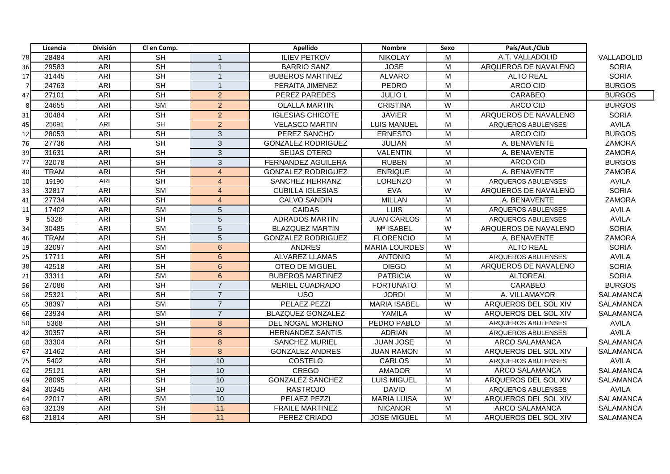|    | Licencia    | <b>División</b> | Cl en Comp.                         |                 | <b>Apellido</b>           | <b>Nombre</b>        | Sexo           | País/Aut./Club        |                  |
|----|-------------|-----------------|-------------------------------------|-----------------|---------------------------|----------------------|----------------|-----------------------|------------------|
| 78 | 28484       | ARI             | <b>SH</b>                           |                 | <b>ILIEV PETKOV</b>       | <b>NIKOLAY</b>       | M              | A.T. VALLADOLID       | VALLADOLID       |
| 36 | 29583       | <b>ARI</b>      | SH                                  | $\overline{1}$  | <b>BARRIO SANZ</b>        | <b>JOSE</b>          | M              | ARQUEROS DE NAVALENO  | <b>SORIA</b>     |
| 17 | 31445       | <b>ARI</b>      | <b>SH</b>                           | $\overline{1}$  | <b>BUBEROS MARTINEZ</b>   | <b>ALVARO</b>        | M              | <b>ALTO REAL</b>      | <b>SORIA</b>     |
| -7 | 24763       | <b>ARI</b>      | <b>SH</b>                           | $\overline{1}$  | PERAITA JIMENEZ           | <b>PEDRO</b>         | M              | ARCO CID              | <b>BURGOS</b>    |
| 47 | 27101       | <b>ARI</b>      | <b>SH</b>                           | $\overline{2}$  | PEREZ PAREDES             | <b>JULIO L</b>       | M              | <b>CARABEO</b>        | <b>BURGOS</b>    |
| 8  | 24655       | ARI             | <b>SM</b>                           | $\overline{2}$  | <b>OLALLA MARTIN</b>      | <b>CRISTINA</b>      | W              | ARCO CID              | <b>BURGOS</b>    |
| 31 | 30484       | <b>ARI</b>      | <b>SH</b>                           | $\overline{2}$  | <b>IGLESIAS CHICOTE</b>   | <b>JAVIER</b>        | M              | ARQUEROS DE NAVALENO  | <b>SORIA</b>     |
| 45 | 25091       | ARI             | <b>SH</b>                           | $\overline{2}$  | <b>VELASCO MARTIN</b>     | <b>LUIS MANUEL</b>   | M              | ARQUEROS ABULENSES    | <b>AVILA</b>     |
| 12 | 28053       | ARI             | <b>SH</b>                           | 3               | PEREZ SANCHO              | <b>ERNESTO</b>       | M              | <b>ARCO CID</b>       | <b>BURGOS</b>    |
| 76 | 27736       | <b>ARI</b>      | $\overline{\mathsf{SH}}$            | $\overline{3}$  | <b>GONZALEZ RODRIGUEZ</b> | <b>JULIAN</b>        | M              | A. BENAVENTE          | <b>ZAMORA</b>    |
| 39 | 31631       | <b>ARI</b>      | <b>SH</b>                           | 3               | <b>SEIJAS OTERO</b>       | <b>VALENTIN</b>      | M              | A. BENAVENTE          | <b>ZAMORA</b>    |
| 77 | 32078       | <b>ARI</b>      | <b>SH</b>                           | 3               | FERNANDEZ AGUILERA        | <b>RUBEN</b>         | M              | ARCO CID              | <b>BURGOS</b>    |
| 40 | <b>TRAM</b> | <b>ARI</b>      | <b>SH</b>                           | $\overline{4}$  | <b>GONZALEZ RODRIGUEZ</b> | <b>ENRIQUE</b>       | M              | A. BENAVENTE          | <b>ZAMORA</b>    |
| 10 | 19190       | ARI             | <b>SH</b>                           | $\overline{4}$  | SANCHEZ HERRANZ           | <b>LORENZO</b>       | M              | ARQUEROS ABULENSES    | <b>AVILA</b>     |
| 33 | 32817       | ARI             | <b>SM</b>                           | $\overline{4}$  | <b>CUBILLA IGLESIAS</b>   | <b>EVA</b>           | $\overline{W}$ | ARQUEROS DE NAVALENO  | <b>SORIA</b>     |
| 41 | 27734       | ARI             | <b>SH</b>                           | $\overline{4}$  | <b>CALVO SANDIN</b>       | <b>MILLAN</b>        | M              | A. BENAVENTE          | <b>ZAMORA</b>    |
| 11 | 17402       | <b>ARI</b>      | <b>SM</b>                           | $\overline{5}$  | <b>CAIDAS</b>             | LUIS                 | M              | ARQUEROS ABULENSES    | <b>AVILA</b>     |
| 9  | 5326        | <b>ARI</b>      | <b>SH</b>                           | 5               | <b>ADRADOS MARTIN</b>     | <b>JUAN CARLOS</b>   | M              | ARQUEROS ABULENSES    | <b>AVILA</b>     |
| 34 | 30485       | <b>ARI</b>      | <b>SM</b>                           | 5               | <b>BLAZQUEZ MARTIN</b>    | Mª ISABEL            | W              | ARQUEROS DE NAVALENO  | <b>SORIA</b>     |
| 46 | <b>TRAM</b> | <b>ARI</b>      | <b>SH</b>                           | 5               | <b>GONZALEZ RODRIGUEZ</b> | <b>FLORENCIO</b>     | M              | A. BENAVENTE          | <b>ZAMORA</b>    |
| 19 | 32097       | <b>ARI</b>      | <b>SM</b>                           | 6               | <b>ANDRES</b>             | <b>MARIA LOURDES</b> | W              | <b>ALTO REAL</b>      | <b>SORIA</b>     |
| 25 | 17711       | ARI             | $\overline{\overline{\mathsf{SH}}}$ | $6\phantom{1}$  | ALVAREZ LLAMAS            | <b>ANTONIO</b>       | M              | ARQUEROS ABULENSES    | <b>AVILA</b>     |
| 38 | 42518       | <b>ARI</b>      | SH                                  | 6               | <b>OTEO DE MIGUEL</b>     | <b>DIEGO</b>         | M              | ARQUEROS DE NAVALENO  | <b>SORIA</b>     |
| 21 | 33311       | ARI             | <b>SM</b>                           | 6               | <b>BUBEROS MARTINEZ</b>   | <b>PATRICIA</b>      | W              | <b>ALTOREAL</b>       | <b>SORIA</b>     |
| 56 | 27086       | ARI             | <b>SH</b>                           | $\overline{7}$  | <b>MERIEL CUADRADO</b>    | <b>FORTUNATO</b>     | M              | CARABEO               | <b>BURGOS</b>    |
| 58 | 25321       | ARI             | <b>SH</b>                           | $\overline{7}$  | <b>USO</b>                | <b>JORDI</b>         | M              | A. VILLAMAYOR         | <b>SALAMANCA</b> |
| 65 | 38397       | <b>ARI</b>      | $\overline{\text{SM}}$              | $\overline{7}$  | <b>PELAEZ PEZZI</b>       | <b>MARIA ISABEL</b>  | W              | ARQUEROS DEL SOL XIV  | <b>SALAMANCA</b> |
| 66 | 23934       | <b>ARI</b>      | <b>SM</b>                           | $\overline{7}$  | <b>BLAZQUEZ GONZALEZ</b>  | YAMILA               | W              | ARQUEROS DEL SOL XIV  | <b>SALAMANCA</b> |
| 50 | 5368        | <b>ARI</b>      | $\overline{\overline{\mathsf{SH}}}$ | $\bf 8$         | DEL NOGAL MORENO          | PEDRO PABLO          | M              | ARQUEROS ABULENSES    | <b>AVILA</b>     |
| 42 | 30357       | <b>ARI</b>      | $\overline{\overline{\mathsf{SH}}}$ | 8               | <b>HERNANDEZ SANTIS</b>   | <b>ADRIAN</b>        | M              | ARQUEROS ABULENSES    | <b>AVILA</b>     |
| 60 | 33304       | <b>ARI</b>      | <b>SH</b>                           | $\bf 8$         | <b>SANCHEZ MURIEL</b>     | JUAN JOSE            | M              | <b>ARCO SALAMANCA</b> | <b>SALAMANCA</b> |
| 67 | 31462       | <b>ARI</b>      | $\overline{\overline{\mathsf{SH}}}$ | $\bf{8}$        | <b>GONZALEZ ANDRES</b>    | <b>JUAN RAMON</b>    | M              | ARQUEROS DEL SOL XIV  | <b>SALAMANCA</b> |
| 75 | 5402        | <b>ARI</b>      | $\overline{\overline{\mathsf{SH}}}$ | 10              | COSTELO                   | <b>CARLOS</b>        | M              | ARQUEROS ABULENSES    | <b>AVILA</b>     |
| 62 | 25121       | <b>ARI</b>      | $\overline{\overline{\mathsf{SH}}}$ | 10              | CREGO                     | <b>AMADOR</b>        | M              | <b>ARCO SALAMANCA</b> | <b>SALAMANCA</b> |
| 69 | 28095       | ARI             | <b>SH</b>                           | 10              | <b>GONZALEZ SANCHEZ</b>   | <b>LUIS MIGUEL</b>   | M              | ARQUEROS DEL SOL XIV  | <b>SALAMANCA</b> |
| 84 | 30345       | <b>ARI</b>      | $\overline{\overline{\mathsf{SH}}}$ | 10              | <b>RASTROJO</b>           | <b>DAVID</b>         | M              | ARQUEROS ABULENSES    | <b>AVILA</b>     |
| 64 | 22017       | <b>ARI</b>      | <b>SM</b>                           | 10              | <b>PELAEZ PEZZI</b>       | <b>MARIA LUISA</b>   | W              | ARQUEROS DEL SOL XIV  | <b>SALAMANCA</b> |
| 63 | 32139       | ARI             | <b>SH</b>                           | 11              | <b>FRAILE MARTINEZ</b>    | <b>NICANOR</b>       | M              | <b>ARCO SALAMANCA</b> | <b>SALAMANCA</b> |
| 68 | 21814       | ARI             | $\overline{\overline{\mathsf{SH}}}$ | $\overline{11}$ | PEREZ CRIADO              | <b>JOSE MIGUEL</b>   | M              | ARQUEROS DEL SOL XIV  | SALAMANCA        |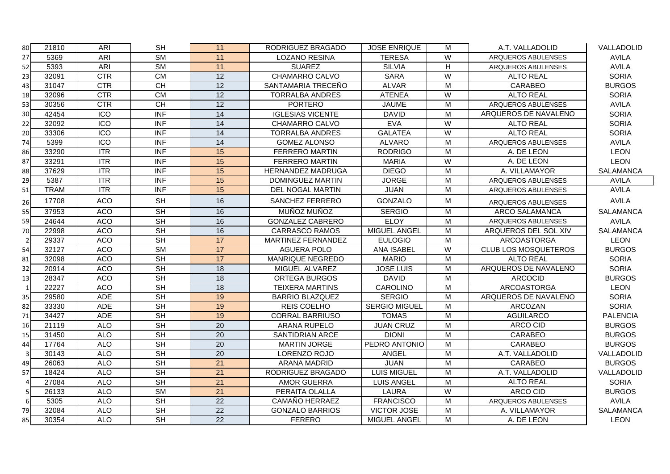| 80             | 21810       | ARI              | <b>SH</b>                           | 11              | RODRIGUEZ BRAGADO        | <b>JOSE ENRIQUE</b>  | M                       | A.T. VALLADOLID             | VALLADOLID       |
|----------------|-------------|------------------|-------------------------------------|-----------------|--------------------------|----------------------|-------------------------|-----------------------------|------------------|
| 27             | 5369        | ARI              | $\overline{\text{SM}}$              | 11              | <b>LOZANO RESINA</b>     | <b>TERESA</b>        | W                       | ARQUEROS ABULENSES          | <b>AVILA</b>     |
| 52             | 5393        | <b>ARI</b>       | <b>SM</b>                           | $\overline{11}$ | <b>SUAREZ</b>            | <b>SILVIA</b>        | H                       | ARQUEROS ABULENSES          | <b>AVILA</b>     |
| 23             | 32091       | <b>CTR</b>       | <b>CM</b>                           | 12              | CHAMARRO CALVO           | <b>SARA</b>          | W                       | <b>ALTO REAL</b>            | <b>SORIA</b>     |
| 43             | 31047       | <b>CTR</b>       | <b>CH</b>                           | 12              | SANTAMARIA TRECEÑO       | <b>ALVAR</b>         | M                       | CARABEO                     | <b>BURGOS</b>    |
| 18             | 32096       | <b>CTR</b>       | <b>CM</b>                           | 12              | <b>TORRALBA ANDRES</b>   | <b>ATENEA</b>        | ${\sf W}$               | <b>ALTO REAL</b>            | <b>SORIA</b>     |
| 53             | 30356       | CTR              | CH                                  | $\overline{12}$ | <b>PORTERO</b>           | <b>JAUME</b>         | $\overline{\mathsf{M}}$ | ARQUEROS ABULENSES          | <b>AVILA</b>     |
| 30             | 42454       | ICO              | <b>INF</b>                          | 14              | <b>IGLESIAS VICENTE</b>  | <b>DAVID</b>         | M                       | ARQUEROS DE NAVALENO        | <b>SORIA</b>     |
| 22             | 32092       | ICO              | <b>INF</b>                          | 14              | CHAMARRO CALVO           | <b>EVA</b>           | W                       | <b>ALTO REAL</b>            | <b>SORIA</b>     |
| 20             | 33306       | $\overline{100}$ | <b>INF</b>                          | 14              | <b>TORRALBA ANDRES</b>   | <b>GALATEA</b>       | $\overline{W}$          | <b>ALTO REAL</b>            | <b>SORIA</b>     |
| 74             | 5399        | $\overline{100}$ | <b>INF</b>                          | 14              | <b>GOMEZ ALONSO</b>      | <b>ALVARO</b>        | M                       | ARQUEROS ABULENSES          | <b>AVILA</b>     |
| 86             | 33290       | ITR              | <b>INF</b>                          | 15              | <b>FERRERO MARTIN</b>    | <b>RODRIGO</b>       | M                       | A. DE LEON                  | <b>LEON</b>      |
| 87             | 33291       | <b>ITR</b>       | <b>INF</b>                          | 15              | <b>FERRERO MARTIN</b>    | <b>MARIA</b>         | W                       | A. DE LEON                  | <b>LEON</b>      |
| 88             | 37629       | $\overline{ITR}$ | <b>INF</b>                          | 15              | <b>HERNANDEZ MADRUGA</b> | <b>DIEGO</b>         | M                       | A. VILLAMAYOR               | <b>SALAMANCA</b> |
| 29             | 5387        | ITR              | $\overline{\mathsf{INF}}$           | 15              | DOMINGUEZ MARTIN         | <b>JORGE</b>         | ${\sf M}$               | ARQUEROS ABULENSES          | <b>AVILA</b>     |
| 51             | <b>TRAM</b> | ITR              | <b>INF</b>                          | 15              | DEL NOGAL MARTIN         | <b>JUAN</b>          | M                       | ARQUEROS ABULENSES          | <b>AVILA</b>     |
| 26             | 17708       | <b>ACO</b>       | <b>SH</b>                           | 16              | SANCHEZ FERRERO          | <b>GONZALO</b>       | M                       | ARQUEROS ABULENSES          | <b>AVILA</b>     |
| 55             | 37953       | <b>ACO</b>       | $\overline{\mathsf{SH}}$            | 16              | MUÑOZ MUÑOZ              | <b>SERGIO</b>        | M                       | ARCO SALAMANCA              | <b>SALAMANCA</b> |
| 59             | 24644       | <b>ACO</b>       | $\overline{\mathsf{SH}}$            | 16              | <b>GONZALEZ CABRERO</b>  | ELOY                 | M                       | ARQUEROS ABULENSES          | <b>AVILA</b>     |
| 70             | 22998       | <b>ACO</b>       | <b>SH</b>                           | 16              | <b>CARRASCO RAMOS</b>    | MIGUEL ANGEL         | M                       | ARQUEROS DEL SOL XIV        | <b>SALAMANCA</b> |
|                | 29337       | <b>ACO</b>       | <b>SH</b>                           | 17              | MARTINEZ FERNANDEZ       | <b>EULOGIO</b>       | M                       | ARCOASTORGA                 | <b>LEON</b>      |
| 54             | 32127       | <b>ACO</b>       | $\overline{\text{SM}}$              | 17              | <b>AGUERA POLO</b>       | <b>ANA ISABEL</b>    | W                       | <b>CLUB LOS MOSQUETEROS</b> | <b>BURGOS</b>    |
| 81             | 32098       | <b>ACO</b>       | <b>SH</b>                           | 17              | <b>MANRIQUE NEGREDO</b>  | <b>MARIO</b>         | M                       | <b>ALTO REAL</b>            | <b>SORIA</b>     |
| 32             | 20914       | <b>ACO</b>       | <b>SH</b>                           | 18              | MIGUEL ALVAREZ           | <b>JOSE LUIS</b>     | M                       | ARQUEROS DE NAVALENO        | <b>SORIA</b>     |
| 13             | 28347       | <b>ACO</b>       | <b>SH</b>                           | 18              | <b>ORTEGA BURGOS</b>     | <b>DAVID</b>         | M                       | <b>ARCOCID</b>              | <b>BURGOS</b>    |
| $\overline{1}$ | 22227       | ACO              | SH                                  | $\overline{18}$ | <b>TEIXERA MARTINS</b>   | CAROLINO             | M                       | <b>ARCOASTORGA</b>          | <b>LEON</b>      |
| 35             | 29580       | <b>ADE</b>       | <b>SH</b>                           | 19              | <b>BARRIO BLAZQUEZ</b>   | <b>SERGIO</b>        | M                       | ARQUEROS DE NAVALENO        | <b>SORIA</b>     |
| 82             | 33330       | <b>ADE</b>       | <b>SH</b>                           | 19              | REIS COELHO              | <b>SERGIO MIGUEL</b> | M                       | ARCOZAN                     | <b>SORIA</b>     |
| 71             | 34427       | <b>ADE</b>       | <b>SH</b>                           | 19              | <b>CORRAL BARRIUSO</b>   | <b>TOMAS</b>         | M                       | <b>AGUILARCO</b>            | <b>PALENCIA</b>  |
| 16             | 21119       | <b>ALO</b>       | $\overline{\overline{\mathsf{SH}}}$ | $\overline{20}$ | <b>ARANA RUPELO</b>      | <b>JUAN CRUZ</b>     | M                       | ARCO CID                    | <b>BURGOS</b>    |
| 15             | 31450       | <b>ALO</b>       | $\overline{\mathsf{SH}}$            | $\overline{20}$ | <b>SANTIDRIAN ARCE</b>   | <b>DIONI</b>         | M                       | CARABEO                     | <b>BURGOS</b>    |
| 44             | 17764       | <b>ALO</b>       | SH                                  | $\overline{20}$ | <b>MARTIN JORGE</b>      | PEDRO ANTONIO        | $\overline{M}$          | <b>CARABEO</b>              | <b>BURGOS</b>    |
| 3              | 30143       | <b>ALO</b>       | <b>SH</b>                           | 20              | LORENZO ROJO             | ANGEL                | M                       | A.T. VALLADOLID             | VALLADOLID       |
| 49             | 26063       | <b>ALO</b>       | <b>SH</b>                           | 21              | <b>ARANA MADRID</b>      | <b>JUAN</b>          | M                       | CARABEO                     | <b>BURGOS</b>    |
| 57             | 18424       | <b>ALO</b>       | <b>SH</b>                           | 21              | RODRIGUEZ BRAGADO        | <b>LUIS MIGUEL</b>   | M                       | A.T. VALLADOLID             | VALLADOLID       |
|                | 27084       | <b>ALO</b>       | SH                                  | $\overline{21}$ | <b>AMOR GUERRA</b>       | <b>LUIS ANGEL</b>    | M                       | <b>ALTO REAL</b>            | <b>SORIA</b>     |
|                | 26133       | <b>ALO</b>       | $\overline{\text{SM}}$              | $\overline{21}$ | PERAITA OLALLA           | LAURA                | W                       | ARCO CID                    | <b>BURGOS</b>    |
| 6              | 5305        | <b>ALO</b>       | <b>SH</b>                           | $\overline{22}$ | CAMAÑO HERRAEZ           | <b>FRANCISCO</b>     | M                       | ARQUEROS ABULENSES          | <b>AVILA</b>     |
| 79             | 32084       | <b>ALO</b>       | $\overline{\mathsf{SH}}$            | 22              | <b>GONZALO BARRIOS</b>   | <b>VICTOR JOSE</b>   | M                       | A. VILLAMAYOR               | <b>SALAMANCA</b> |
| 85             | 30354       | <b>ALO</b>       | <b>SH</b>                           | 22              | <b>FERERO</b>            | MIGUEL ANGEL         | M                       | A. DE LEON                  | <b>LEON</b>      |